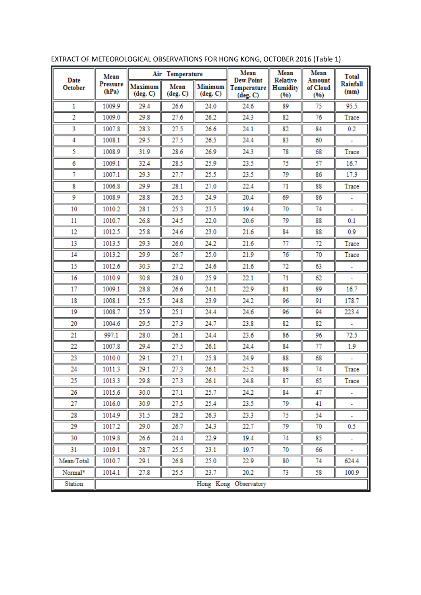| Date<br>October | Mean<br>Pressure<br>(hPa) | Air Temperature           |                  |                            | Mean                                                 | Mean                                       | Mean                       | <b>Total</b>     |  |
|-----------------|---------------------------|---------------------------|------------------|----------------------------|------------------------------------------------------|--------------------------------------------|----------------------------|------------------|--|
|                 |                           | <b>Maximum</b><br>deg. C) | Mean<br>(deg. C) | <b>Minimum</b><br>(deg. C) | <b>Dew Point</b><br>Temperature<br>$(\text{deg. C})$ | <b>Relative</b><br><b>Humidity</b><br>(96) | Amount<br>of Cloud<br>(96) | Rainfall<br>(mm) |  |
| 1               | 1009.9                    | 29.4                      | 26.6             | 24.0                       | 24.6                                                 | 89                                         | 75                         | 95.5             |  |
| 2               | 1009.0                    | 29.8                      | 27.6             | 26.2                       | 24.3                                                 | 82                                         | 76                         | Trace            |  |
| 3               | 1007.8                    | 28.3                      | 27.5             | 26.6                       | 24.1                                                 | 82                                         | 84                         | 0.2              |  |
| 4               | 1008.1                    | 29.5                      | 27.5             | 26.5                       | 24.4                                                 | 83                                         | 60                         |                  |  |
| 5               | 1008.9                    | 31.9                      | 28.6             | 26.9                       | 24.3                                                 | 78                                         | 68                         | Trace            |  |
| 6               | 1009.1                    | 32.4                      | 28.5             | 25.9                       | 23.5                                                 | 75                                         | 57                         | 16.7             |  |
| 7               | 1007.1                    | 29.3                      | 27.7             | 25.5                       | 23.5                                                 | 79                                         | 86                         | 17.3             |  |
| 8               | 1006.8                    | 29.9                      | 28.1             | 27.0                       | 22.4                                                 | 71                                         | 88                         | Trace            |  |
| 9               | 1008.9                    | 28.8                      | 26.5             | 24.9                       | 20.4                                                 | 69                                         | 86                         |                  |  |
| 10              | 1010.2                    | 28.1                      | 25.3             | 23.5                       | 19.4                                                 | 70                                         | 74                         |                  |  |
| 11              | 1010.7                    | 26.8                      | 24.5             | 22.0                       | 20.6                                                 | 79                                         | 88                         | 0.1              |  |
| 12              | 1012.5                    | 25.8                      | 24.6             | 23.0                       | 21.6                                                 | 84                                         | 88                         | 0.9              |  |
| 13              | 1013.5                    | 29.3                      | 26.0             | 24.2                       | 21.6                                                 | 77                                         | 72                         | Trace            |  |
| 14              | 1013.2                    | 29.9                      | 26.7             | 25.0                       | 21.9                                                 | 76                                         | 70                         | Trace            |  |
| 15              | 1012.6                    | 30.3                      | 27.2             | 24.6                       | 21.6                                                 | 72                                         | 63                         |                  |  |
| 16              | 1010.9                    | 30.8                      | 28.0             | 25.9                       | 22.1                                                 | 71                                         | 62                         |                  |  |
| 17              | 1009.1                    | 28.8                      | 26.6             | 24.1                       | 22.9                                                 | 81                                         | 89                         | 16.7             |  |
| 18              | 1008.1                    | 25.5                      | 24.8             | 23.9                       | 24.2                                                 | 96                                         | 91                         | 178.7            |  |
| 19              | 1008.7                    | 25.9                      | 25.1             | 24.4                       | 24.6                                                 | 96                                         | 94                         | 223.4            |  |
| 20              | 1004.6                    | 29.5                      | 27.3             | 24.7                       | 23.8                                                 | 82                                         | 82                         |                  |  |
| 21              | 997.1                     | 28.0                      | 26.1             | 24.4                       | 23.6                                                 | 86                                         | 96                         | 72.5             |  |
| 22              | 1007.8                    | 29.4                      | 27.5             | 26.1                       | 24.4                                                 | 84                                         | 77                         | 1.9              |  |
| 23              | 1010.0                    | 29.1                      | 27.1             | 25.8                       | 24.9                                                 | 88                                         | 68                         |                  |  |
| 24              | 1011.3                    | 29.1                      | 27.3             | 26.1                       | 25.2                                                 | 88                                         | 74                         | Trace            |  |
| 25              | 1013.3                    | 29.8                      | 27.3             | 26.1                       | 24.8                                                 | 87                                         | 65                         | Trace            |  |
| 26              | 1015.6                    | 30.0                      | 27.1             | 25.7                       | 24.2                                                 | 84                                         | 47                         |                  |  |
| 27              | 1016.0                    | 30.9                      | 27.5             | 25.4                       | 23.5                                                 | 79                                         | 41                         |                  |  |
| 28              | 1014.9                    | 31.5                      | 28.2             | 26.3                       | 23.3                                                 | 75                                         | 54                         |                  |  |
| 29              | 1017.2                    | 29.0                      | 26.7             | 24.3                       | 22.7                                                 | 79                                         | 70                         | 0.5              |  |
| 30              | 1019.8                    | 26.6                      | 24.4             | 22.9                       | 19.4                                                 | 74                                         | 85                         | ۰                |  |
| 31              | 1019.1                    | 28.7                      | 25.5             | 23.1                       | 19.7                                                 | 70                                         | 66                         |                  |  |
| Mean/Total      | 1010.7                    | 29.1                      | 26.8             | 25.0                       | 22.9                                                 | 80                                         | 74                         | 624.4            |  |
| Normal*         | 1014.1                    | 27.8                      | 25.5             | 23.7                       | 20.2                                                 | 73                                         | 58                         | 100.9            |  |
| Station         | Hong Kong Observatory     |                           |                  |                            |                                                      |                                            |                            |                  |  |

EXTRACT OF METEOROLOGICAL OBSERVATIONS FOR HONG KONG, OCTOBER 2016 (Table 1)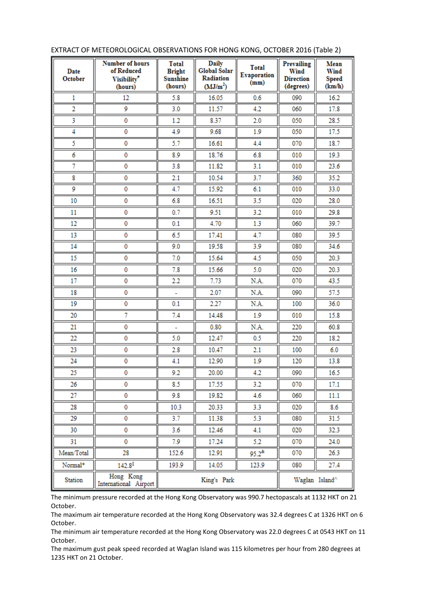| Date<br>October | <b>Number of hours</b><br>of Reduced<br>Visibility <sup>*</sup><br>(hours) | <b>Total</b><br><b>Bright</b><br><b>Sunshine</b><br>(hours) | <b>Daily</b><br>Global Solar<br><b>Radiation</b><br>(MJ/m <sup>2</sup> ) | <b>Total</b><br>Evaporation<br>(mm) | <b>Prevailing</b><br>Wind<br><b>Direction</b><br>(degrees) | Mean<br>Wind<br><b>Speed</b><br>(km/h) |
|-----------------|----------------------------------------------------------------------------|-------------------------------------------------------------|--------------------------------------------------------------------------|-------------------------------------|------------------------------------------------------------|----------------------------------------|
| 1               | 12                                                                         | 5.8                                                         | 16.05                                                                    | 0.6                                 | 090                                                        | 16.2                                   |
| $\overline{2}$  | 9                                                                          | 3.0                                                         | 11.57                                                                    | 4.2                                 | 060                                                        | 17.8                                   |
| 3               | 0                                                                          | 1.2                                                         | 8.37                                                                     | 2.0                                 | 050                                                        | 28.5                                   |
| 4               | 0                                                                          | 4.9                                                         | 9.68                                                                     | 1.9                                 | 050                                                        | 17.5                                   |
| 5               | 0                                                                          | 5.7                                                         | 16.61                                                                    | 4.4                                 | 070                                                        | 18.7                                   |
| 6               | 0                                                                          | 8.9                                                         | 18.76                                                                    | 6.8                                 | 010                                                        | 19.3                                   |
| 7               | 0                                                                          | 3.8                                                         | 11.82                                                                    | 3.1                                 | 010                                                        | 23.6                                   |
| 8               | $\mathbf 0$                                                                | 2.1                                                         | 10.54                                                                    | 3.7                                 | 360                                                        | 35.2                                   |
| 9               | 0                                                                          | 4.7                                                         | 15.92                                                                    | 6.1                                 | 010                                                        | 33.0                                   |
| 10              | 0                                                                          | 6.8                                                         | 16.51                                                                    | 3.5                                 | 020                                                        | 28.0                                   |
| 11              | 0                                                                          | 0.7                                                         | 9.51                                                                     | 3.2                                 | 010                                                        | 29.8                                   |
| 12              | 0                                                                          | 0.1                                                         | 4.70                                                                     | 1.3                                 | 060                                                        | 39.7                                   |
| 13              | 0                                                                          | 6.5                                                         | 17.41                                                                    | 4.7                                 | 080                                                        | 39.5                                   |
| 14              | 0                                                                          | 9.0                                                         | 19.58                                                                    | 3.9                                 | 080                                                        | 34.6                                   |
| 15              | 0                                                                          | 7.0                                                         | 15.64                                                                    | 4.5                                 | 050                                                        | 20.3                                   |
| 16              | 0                                                                          | 7.8                                                         | 15.66                                                                    | 5.0                                 | 020                                                        | 20.3                                   |
| 17              | 0                                                                          | 2.2                                                         | 7.73                                                                     | N.A.                                | 070                                                        | 43.5                                   |
| 18              | 0                                                                          |                                                             | 2.07                                                                     | N.A.                                | 090                                                        | 57.5                                   |
| 19              | $\mathbf 0$                                                                | 0.1                                                         | 2.27                                                                     | N.A.                                | 100                                                        | 36.0                                   |
| 20              | 7                                                                          | 7.4                                                         | 14.48                                                                    | 1.9                                 | 010                                                        | 15.8                                   |
| 21              | 0                                                                          |                                                             | 0.80                                                                     | N.A.                                | 220                                                        | 60.8                                   |
| 22              | 0                                                                          | 5.0                                                         | 12.47                                                                    | 0.5                                 | 220                                                        | 18.2                                   |
| 23              | 0                                                                          | 2.8                                                         | 10.47                                                                    | 2.1                                 | 100                                                        | 6.0                                    |
| 24              | 0                                                                          | 4.1                                                         | 12.90                                                                    | 1.9                                 | 120                                                        | 13.8                                   |
| 25              | 0                                                                          | 9.2                                                         | 20.00                                                                    | 4.2                                 | 090                                                        | 16.5                                   |
| 26              | 0                                                                          | 8.5                                                         | 17.55                                                                    | 3.2                                 | 070                                                        | 17.1                                   |
| 27              | 0                                                                          | 9.8                                                         | 19.82                                                                    | 4.6                                 | 060                                                        | 11.1                                   |
| 28              | 0                                                                          | 10.3                                                        | 20.33                                                                    | 3.3                                 | 020                                                        | 8.6                                    |
| 29              | 0                                                                          | 3.7                                                         | 11.38                                                                    | 5.3                                 | 080                                                        | 31.5                                   |
| 30              | 0                                                                          | 3.6                                                         | 12.46                                                                    | 4.1                                 | 020                                                        | 32.3                                   |
| 31              | 0                                                                          | 7.9                                                         | 17.24                                                                    | 5.2                                 | 070                                                        | 24.0                                   |
| Mean/Total      | 28                                                                         | 152.6                                                       | 12.91                                                                    | $95.2^*$                            | 070                                                        | 26.3                                   |
| Normal*         | $142.8^{\frac{5}{2}}$                                                      | 193.9                                                       | 14.05                                                                    | 123.9                               | 080                                                        | 27.4                                   |
| Station         | Hong Kong<br>International Airport                                         | Waglan Island^                                              |                                                                          |                                     |                                                            |                                        |

## EXTRACT OF METEOROLOGICAL OBSERVATIONS FOR HONG KONG, OCTOBER 2016 (Table 2)

The minimum pressure recorded at the Hong Kong Observatory was 990.7 hectopascals at 1132 HKT on 21 October.

The maximum air temperature recorded at the Hong Kong Observatory was 32.4 degrees C at 1326 HKT on 6 October.

The minimum air temperature recorded at the Hong Kong Observatory was 22.0 degrees C at 0543 HKT on 11 October.

The maximum gust peak speed recorded at Waglan Island was 115 kilometres per hour from 280 degrees at 1235 HKT on 21 October.